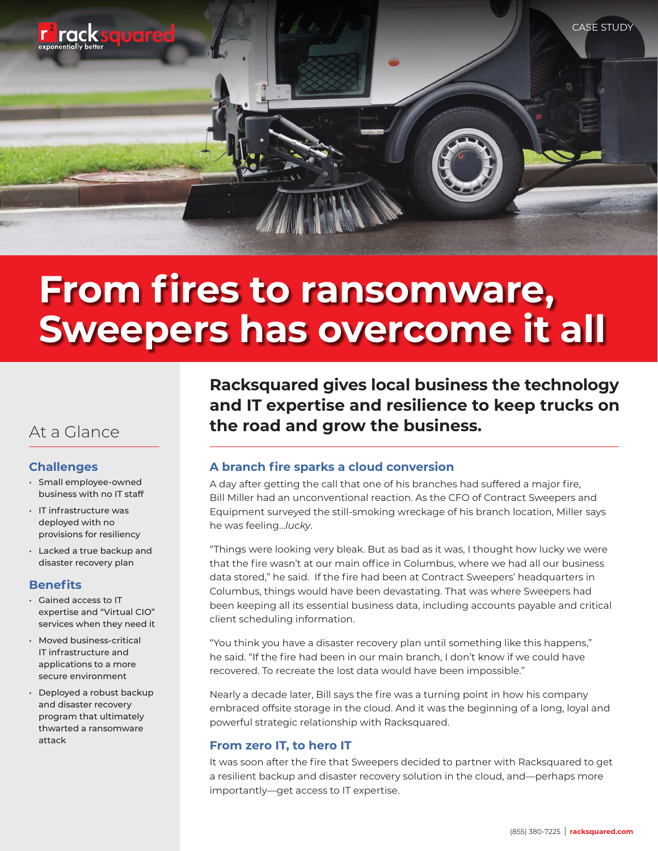

# **From fires to ransomware, Sweepers has overcome it all**

# **Challenges**

- Small employee-owned business with no IT staff
- IT infrastructure was deployed with no provisions for resiliency
- Lacked a true backup and disaster recovery plan

#### **Benefits**

- Gained access to IT expertise and "Virtual CIO" services when they need it
- Moved business-critical IT infrastructure and applications to a more secure environment
- Deployed a robust backup and disaster recovery program that ultimately thwarted a ransomware attack

**Racksquared gives local business the technology and IT expertise and resilience to keep trucks on**  At a Glance **the road and grow the business.** 

# **A branch fire sparks a cloud conversion**

A day after getting the call that one of his branches had suffered a major fire, Bill Miller had an unconventional reaction. As the CFO of Contract Sweepers and Equipment surveyed the still-smoking wreckage of his branch location, Miller says he was feeling…*lucky*.

"Things were looking very bleak. But as bad as it was, I thought how lucky we were that the fire wasn't at our main office in Columbus, where we had all our business data stored," he said. If the fire had been at Contract Sweepers' headquarters in Columbus, things would have been devastating. That was where Sweepers had been keeping all its essential business data, including accounts payable and critical client scheduling information.

"You think you have a disaster recovery plan until something like this happens," he said. "If the fire had been in our main branch, I don't know if we could have recovered. To recreate the lost data would have been impossible."

Nearly a decade later, Bill says the fire was a turning point in how his company embraced offsite storage in the cloud. And it was the beginning of a long, loyal and powerful strategic relationship with Racksquared.

# **From zero IT, to hero IT**

It was soon after the fire that Sweepers decided to partner with Racksquared to get a resilient backup and disaster recovery solution in the cloud, and—perhaps more importantly—get access to IT expertise.